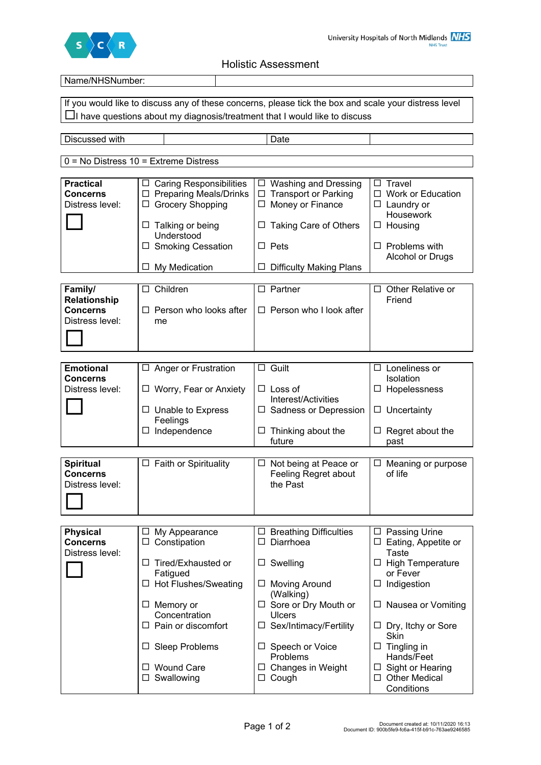

Holistic Assessment

| Name/NHSNumber:                    |                                                                 |                                                                                                       |                                               |
|------------------------------------|-----------------------------------------------------------------|-------------------------------------------------------------------------------------------------------|-----------------------------------------------|
|                                    |                                                                 | If you would like to discuss any of these concerns, please tick the box and scale your distress level |                                               |
|                                    |                                                                 |                                                                                                       |                                               |
|                                    |                                                                 | $\Box$ I have questions about my diagnosis/treatment that I would like to discuss                     |                                               |
|                                    |                                                                 |                                                                                                       |                                               |
| Discussed with                     |                                                                 | Date                                                                                                  |                                               |
|                                    |                                                                 |                                                                                                       |                                               |
|                                    | $0 = No$ Distress $10 =$ Extreme Distress                       |                                                                                                       |                                               |
|                                    |                                                                 |                                                                                                       |                                               |
| <b>Practical</b>                   | $\Box$ Caring Responsibilities<br>$\Box$ Preparing Meals/Drinks | <b>Washing and Dressing</b><br>ப<br>$\Box$ Transport or Parking                                       | $\Box$ Travel<br>$\Box$ Work or Education     |
| <b>Concerns</b><br>Distress level: | □ Grocery Shopping                                              | $\Box$ Money or Finance                                                                               | $\Box$ Laundry or                             |
|                                    |                                                                 |                                                                                                       | Housework                                     |
|                                    | $\Box$ Talking or being                                         | $\Box$ Taking Care of Others                                                                          | $\Box$ Housing                                |
|                                    | Understood                                                      |                                                                                                       |                                               |
|                                    | □ Smoking Cessation                                             | $\Box$ Pets                                                                                           | $\Box$ Problems with                          |
|                                    |                                                                 |                                                                                                       | Alcohol or Drugs                              |
|                                    | My Medication<br>ப                                              | <b>Difficulty Making Plans</b><br>ப                                                                   |                                               |
|                                    |                                                                 |                                                                                                       |                                               |
| Family/                            | $\Box$ Children                                                 | $\Box$ Partner                                                                                        | $\Box$ Other Relative or                      |
| <b>Relationship</b>                |                                                                 |                                                                                                       | Friend                                        |
| <b>Concerns</b>                    | $\Box$ Person who looks after                                   | $\Box$ Person who I look after                                                                        |                                               |
| Distress level:                    | me                                                              |                                                                                                       |                                               |
|                                    |                                                                 |                                                                                                       |                                               |
|                                    |                                                                 |                                                                                                       |                                               |
|                                    |                                                                 |                                                                                                       |                                               |
| <b>Emotional</b>                   | $\Box$ Anger or Frustration                                     | $\Box$ Guilt                                                                                          | $\Box$ Loneliness or                          |
| <b>Concerns</b><br>Distress level: | $\Box$ Worry, Fear or Anxiety                                   | $\Box$ Loss of                                                                                        | Isolation<br>$\Box$ Hopelessness              |
|                                    |                                                                 | Interest/Activities                                                                                   |                                               |
|                                    | $\Box$ Unable to Express                                        | $\Box$ Sadness or Depression                                                                          | $\Box$ Uncertainty                            |
|                                    | Feelings                                                        |                                                                                                       |                                               |
|                                    | Independence                                                    | $\Box$ Thinking about the                                                                             | Regret about the<br>$\Box$                    |
|                                    |                                                                 | future                                                                                                | past                                          |
|                                    |                                                                 |                                                                                                       |                                               |
| <b>Spiritual</b>                   | $\Box$ Faith or Spirituality                                    | $\Box$ Not being at Peace or                                                                          | $\Box$ Meaning or purpose                     |
| Concerns                           |                                                                 | Feeling Regret about                                                                                  | of life                                       |
| Distress level:                    |                                                                 | the Past                                                                                              |                                               |
|                                    |                                                                 |                                                                                                       |                                               |
|                                    |                                                                 |                                                                                                       |                                               |
|                                    |                                                                 |                                                                                                       |                                               |
| <b>Physical</b><br><b>Concerns</b> | My Appearance<br>ப<br>□ Constipation                            | $\Box$ Breathing Difficulties<br>□ Diarrhoea                                                          | □ Passing Urine<br>$\Box$ Eating, Appetite or |
| Distress level:                    |                                                                 |                                                                                                       | <b>Taste</b>                                  |
|                                    | □ Tired/Exhausted or                                            | Swelling<br>ப                                                                                         | □ High Temperature                            |
|                                    | Fatigued                                                        |                                                                                                       | or Fever                                      |
|                                    | □ Hot Flushes/Sweating                                          | $\Box$ Moving Around                                                                                  | $\Box$ Indigestion                            |
|                                    |                                                                 | (Walking)                                                                                             |                                               |
|                                    | $\Box$ Memory or                                                | $\Box$ Sore or Dry Mouth or                                                                           | $\Box$ Nausea or Vomiting                     |
|                                    | Concentration                                                   | <b>Ulcers</b>                                                                                         |                                               |
|                                    | $\Box$ Pain or discomfort                                       | □ Sex/Intimacy/Fertility                                                                              | $\Box$ Dry, Itchy or Sore                     |
|                                    |                                                                 |                                                                                                       | Skin                                          |
|                                    | $\Box$ Sleep Problems                                           | □ Speech or Voice<br>Problems                                                                         | $\Box$ Tingling in<br>Hands/Feet              |
|                                    | □ Wound Care                                                    | $\Box$ Changes in Weight                                                                              | $\Box$ Sight or Hearing                       |
|                                    | $\square$ Swallowing                                            | $\Box$ Cough                                                                                          | □ Other Medical                               |
|                                    |                                                                 |                                                                                                       | Conditions                                    |